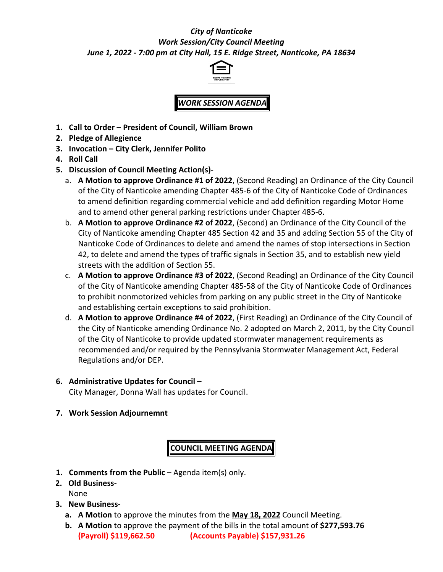## *City of Nanticoke Work Session/City Council Meeting June 1, 2022 - 7:00 pm at City Hall, 15 E. Ridge Street, Nanticoke, PA 18634*



*WORK SESSION AGENDA*

- **1. Call to Order President of Council, William Brown**
- **2. Pledge of Allegience**
- **3. Invocation City Clerk, Jennifer Polito**
- **4. Roll Call**
- **5. Discussion of Council Meeting Action(s)**
	- a. **A Motion to approve Ordinance #1 of 2022**, (Second Reading) an Ordinance of the City Council of the City of Nanticoke amending Chapter 485-6 of the City of Nanticoke Code of Ordinances to amend definition regarding commercial vehicle and add definition regarding Motor Home and to amend other general parking restrictions under Chapter 485-6.
	- b. **A Motion to approve Ordinance #2 of 2022**, (Second) an Ordinance of the City Council of the City of Nanticoke amending Chapter 485 Section 42 and 35 and adding Section 55 of the City of Nanticoke Code of Ordinances to delete and amend the names of stop intersections in Section 42, to delete and amend the types of traffic signals in Section 35, and to establish new yield streets with the addition of Section 55.
	- c. **A Motion to approve Ordinance #3 of 2022**, (Second Reading) an Ordinance of the City Council of the City of Nanticoke amending Chapter 485-58 of the City of Nanticoke Code of Ordinances to prohibit nonmotorized vehicles from parking on any public street in the City of Nanticoke and establishing certain exceptions to said prohibition.
	- d. **A Motion to approve Ordinance #4 of 2022**, (First Reading) an Ordinance of the City Council of the City of Nanticoke amending Ordinance No. 2 adopted on March 2, 2011, by the City Council of the City of Nanticoke to provide updated stormwater management requirements as recommended and/or required by the Pennsylvania Stormwater Management Act, Federal Regulations and/or DEP.

## **6. Administrative Updates for Council –**

City Manager, Donna Wall has updates for Council.

**7. Work Session Adjournemnt**

**COUNCIL MEETING AGENDA**

- **1. Comments from the Public –** Agenda item(s) only.
- **2. Old Business-**None
- **3. New Business**
	- **a. A Motion** to approve the minutes from the **May 18, 2022** Council Meeting.
	- **b. A Motion** to approve the payment of the bills in the total amount of **\$277,593.76 (Payroll) \$119,662.50 (Accounts Payable) \$157,931.26**